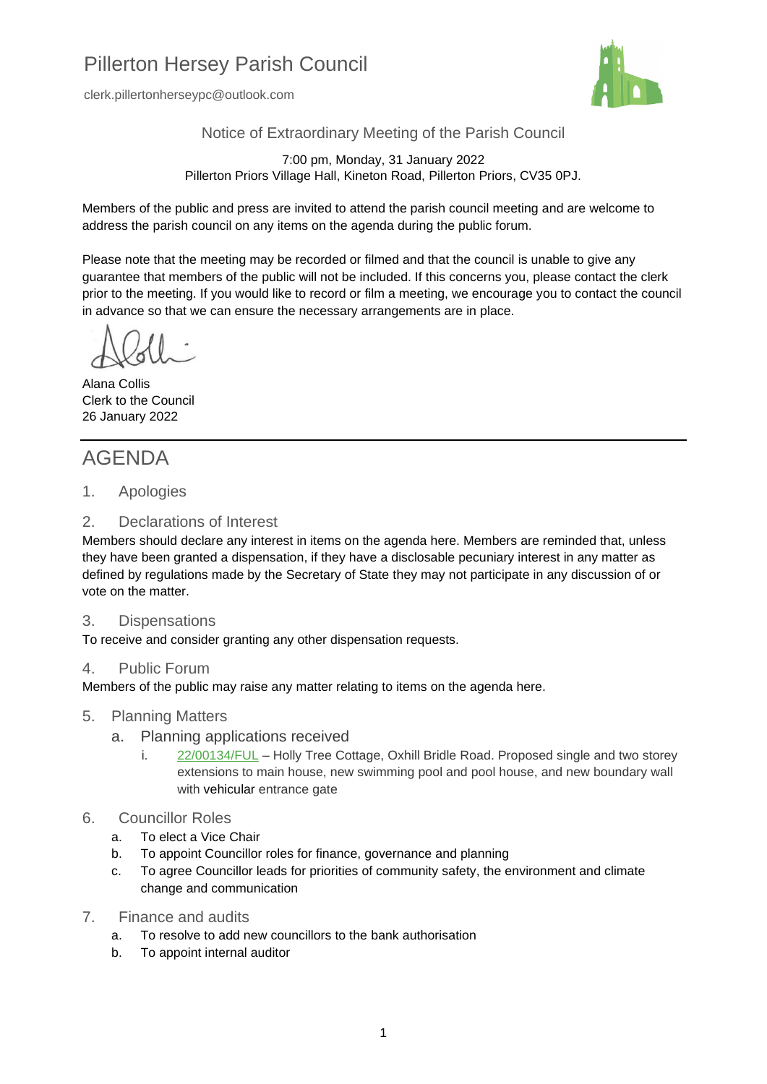## Pillerton Hersey Parish Council

clerk.pillertonherseypc@outlook.com



Notice of Extraordinary Meeting of the Parish Council

7:00 pm, Monday, 31 January 2022 Pillerton Priors Village Hall, Kineton Road, Pillerton Priors, CV35 0PJ.

Members of the public and press are invited to attend the parish council meeting and are welcome to address the parish council on any items on the agenda during the public forum.

Please note that the meeting may be recorded or filmed and that the council is unable to give any guarantee that members of the public will not be included. If this concerns you, please contact the clerk prior to the meeting. If you would like to record or film a meeting, we encourage you to contact the council in advance so that we can ensure the necessary arrangements are in place.

Alana Collis Clerk to the Council 26 January 2022

## AGENDA

1. Apologies

## 2. Declarations of Interest

Members should declare any interest in items on the agenda here. Members are reminded that, unless they have been granted a dispensation, if they have a disclosable pecuniary interest in any matter as defined by regulations made by the Secretary of State they may not participate in any discussion of or vote on the matter.

## 3. Dispensations

To receive and consider granting any other dispensation requests.

## 4. Public Forum

Members of the public may raise any matter relating to items on the agenda here.

#### 5. Planning Matters

- a. Planning applications received
	- i. [22/00134/FUL](https://apps.stratford.gov.uk/eplanning/AppDetail.aspx?appkey=R5PGESPMG6700) Holly Tree Cottage, Oxhill Bridle Road. Proposed single and two storey extensions to main house, new swimming pool and pool house, and new boundary wall with vehicular entrance gate

## 6. Councillor Roles

- a. To elect a Vice Chair
- b. To appoint Councillor roles for finance, governance and planning
- c. To agree Councillor leads for priorities of community safety, the environment and climate change and communication
- 7. Finance and audits
	- a. To resolve to add new councillors to the bank authorisation
	- b. To appoint internal auditor